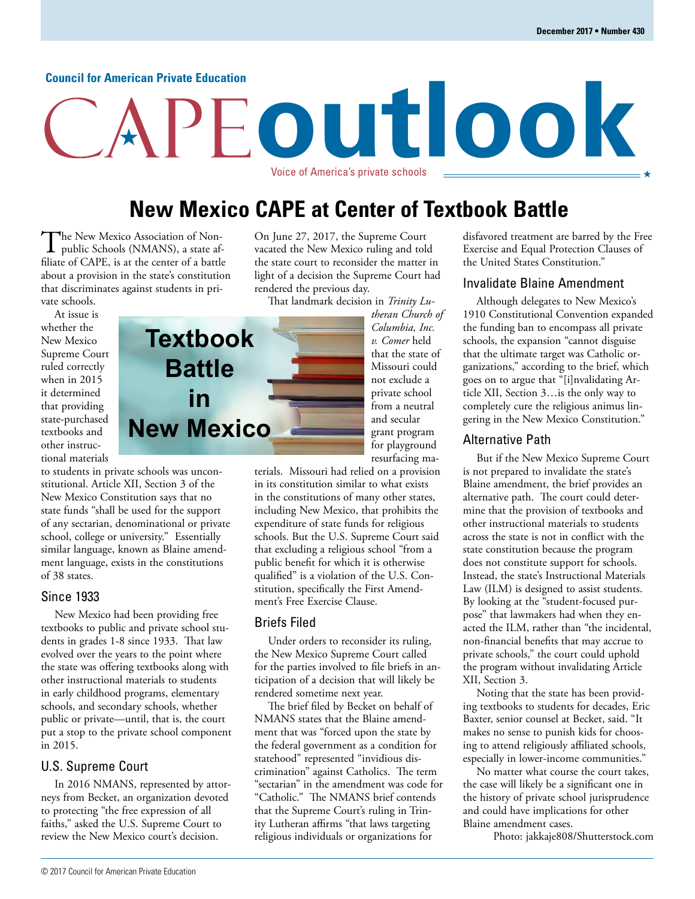#### **Council for American Private Education**

# **outlook** Voice of America's private schools

## **New Mexico CAPE at Center of Textbook Battle**

The New Mexico Association of Non-<br>public Schools (NMANS), a state affiliate of CAPE, is at the center of a battle about a provision in the state's constitution that discriminates against students in private schools.

At issue is whether the New Mexico Supreme Court ruled correctly when in 2015 it determined that providing state-purchased textbooks and other instructional materials

to students in private schools was unconstitutional. Article XII, Section 3 of the New Mexico Constitution says that no state funds "shall be used for the support of any sectarian, denominational or private school, college or university." Essentially similar language, known as Blaine amendment language, exists in the constitutions of 38 states.

#### Since 1933

New Mexico had been providing free textbooks to public and private school students in grades 1-8 since 1933. That law evolved over the years to the point where the state was offering textbooks along with other instructional materials to students in early childhood programs, elementary schools, and secondary schools, whether public or private—until, that is, the court put a stop to the private school component in 2015.

#### U.S. Supreme Court

In 2016 NMANS, represented by attorneys from Becket, an organization devoted to protecting "the free expression of all faiths," asked the U.S. Supreme Court to review the New Mexico court's decision.

**Textbook Battle in New Mexico**

On June 27, 2017, the Supreme Court vacated the New Mexico ruling and told the state court to reconsider the matter in light of a decision the Supreme Court had rendered the previous day.

That landmark decision in *Trinity Lu-*

*theran Church of Columbia, Inc. v. Comer* held that the state of Missouri could not exclude a private school from a neutral and secular grant program for playground resurfacing ma-

terials. Missouri had relied on a provision in its constitution similar to what exists in the constitutions of many other states, including New Mexico, that prohibits the expenditure of state funds for religious schools. But the U.S. Supreme Court said that excluding a religious school "from a public benefit for which it is otherwise qualified" is a violation of the U.S. Constitution, specifically the First Amendment's Free Exercise Clause.

#### Briefs Filed

Under orders to reconsider its ruling, the New Mexico Supreme Court called for the parties involved to file briefs in anticipation of a decision that will likely be rendered sometime next year.

The brief filed by Becket on behalf of NMANS states that the Blaine amendment that was "forced upon the state by the federal government as a condition for statehood" represented "invidious discrimination" against Catholics. The term "sectarian" in the amendment was code for "Catholic." The NMANS brief contends that the Supreme Court's ruling in Trinity Lutheran affirms "that laws targeting religious individuals or organizations for

disfavored treatment are barred by the Free Exercise and Equal Protection Clauses of the United States Constitution."

#### Invalidate Blaine Amendment

Although delegates to New Mexico's 1910 Constitutional Convention expanded the funding ban to encompass all private schools, the expansion "cannot disguise that the ultimate target was Catholic organizations," according to the brief, which goes on to argue that "[i]nvalidating Article XII, Section 3…is the only way to completely cure the religious animus lingering in the New Mexico Constitution."

#### Alternative Path

But if the New Mexico Supreme Court is not prepared to invalidate the state's Blaine amendment, the brief provides an alternative path. The court could determine that the provision of textbooks and other instructional materials to students across the state is not in conflict with the state constitution because the program does not constitute support for schools. Instead, the state's Instructional Materials Law (ILM) is designed to assist students. By looking at the "student-focused purpose" that lawmakers had when they enacted the ILM, rather than "the incidental, non-financial benefits that may accrue to private schools," the court could uphold the program without invalidating Article XII, Section 3.

Noting that the state has been providing textbooks to students for decades, Eric Baxter, senior counsel at Becket, said. "It makes no sense to punish kids for choosing to attend religiously affiliated schools, especially in lower-income communities."

No matter what course the court takes, the case will likely be a significant one in the history of private school jurisprudence and could have implications for other Blaine amendment cases.

Photo: jakkaje808/Shutterstock.com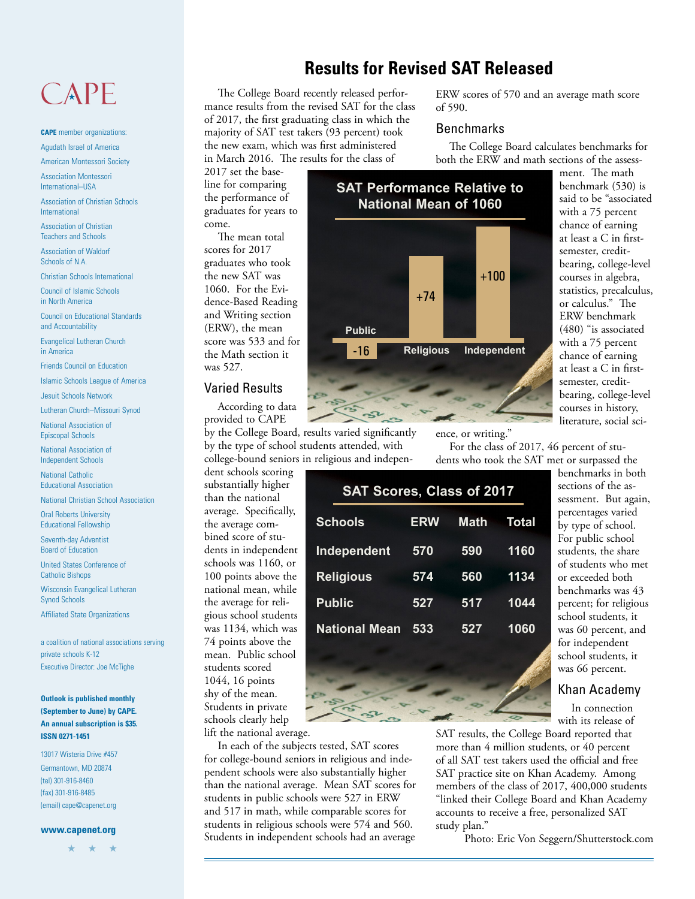## CAPE

**CAPE** member organizations: Agudath Israel of America

American Montessori Society

Association Montessori International–USA

Association of Christian Schools International

Association of Christian Teachers and Schools

Association of Waldorf Schools of N.A.

Christian Schools International

Council of Islamic Schools in North America

Council on Educational Standards and Accountability

Evangelical Lutheran Church in America

Friends Council on Education

Islamic Schools League of America

Jesuit Schools Network

Lutheran Church–Missouri Synod

National Association of Episcopal Schools

National Association of Independent Schools

National Catholic Educational Association

National Christian School Association

Oral Roberts University Educational Fellowship

Seventh-day Adventist Board of Education

United States Conference of Catholic Bishops

Wisconsin Evangelical Lutheran Synod Schools

Affiliated State Organizations

a coalition of national associations serving private schools K-12 Executive Director: Joe McTighe

#### **Outlook is published monthly (September to June) by CAPE. An annual subscription is \$35. ISSN 0271-1451**

13017 Wisteria Drive #457 Germantown, MD 20874 (tel) 301-916-8460 (fax) 301-916-8485 (email) cape@capenet.org

#### **www.capenet.org**

★ ★ ★

## **Results for Revised SAT Released**

The College Board recently released performance results from the revised SAT for the class of 2017, the first graduating class in which the majority of SAT test takers (93 percent) took the new exam, which was first administered in March 2016. The results for the class of

ERW scores of 570 and an average math score of 590.

#### Benchmarks

The College Board calculates benchmarks for both the ERW and math sections of the assess-

2017 set the baseline for comparing the performance of graduates for years to come.

The mean total scores for 2017 graduates who took the new SAT was 1060. For the Evidence-Based Reading and Writing section (ERW), the mean score was 533 and for the Math section it was 527.

#### Varied Results

According to data provided to CAPE

by the College Board, results varied significantly by the type of school students attended, with college-bound seniors in religious and indepen-

dent schools scoring substantially higher than the national average. Specifically, the average combined score of students in independent schools was 1160, or 100 points above the national mean, while the average for religious school students was 1134, which was 74 points above the mean. Public school students scored 1044, 16 points shy of the mean. Students in private schools clearly help

lift the national average.

In each of the subjects tested, SAT scores for college-bound seniors in religious and independent schools were also substantially higher than the national average. Mean SAT scores for students in public schools were 527 in ERW and 517 in math, while comparable scores for students in religious schools were 574 and 560. Students in independent schools had an average



ment. The math benchmark (530) is said to be "associated with a 75 percent chance of earning at least a C in firstsemester, creditbearing, college-level courses in algebra, statistics, precalculus, or calculus." The ERW benchmark (480) "is associated with a 75 percent chance of earning at least a C in firstsemester, creditbearing, college-level courses in history, literature, social sci-

ence, or writing."

For the class of 2017, 46 percent of students who took the SAT met or surpassed the

| <b>SAT Scores, Class of 2017</b> |             |              |
|----------------------------------|-------------|--------------|
| <b>ERW</b>                       | <b>Math</b> | <b>Total</b> |
| 570                              | 590         | 1160         |
| 574                              | 560         | 1134         |
| 527                              | 517         | 1044         |
| 533                              | 527         | 1060         |
|                                  |             |              |
|                                  |             |              |

benchmarks in both sections of the assessment. But again, percentages varied by type of school. For public school students, the share of students who met or exceeded both benchmarks was 43 percent; for religious school students, it was 60 percent, and for independent school students, it was 66 percent.

#### Khan Academy

In connection with its release of

SAT results, the College Board reported that more than 4 million students, or 40 percent of all SAT test takers used the official and free SAT practice site on Khan Academy. Among members of the class of 2017, 400,000 students "linked their College Board and Khan Academy accounts to receive a free, personalized SAT study plan."

Photo: Eric Von Seggern/Shutterstock.com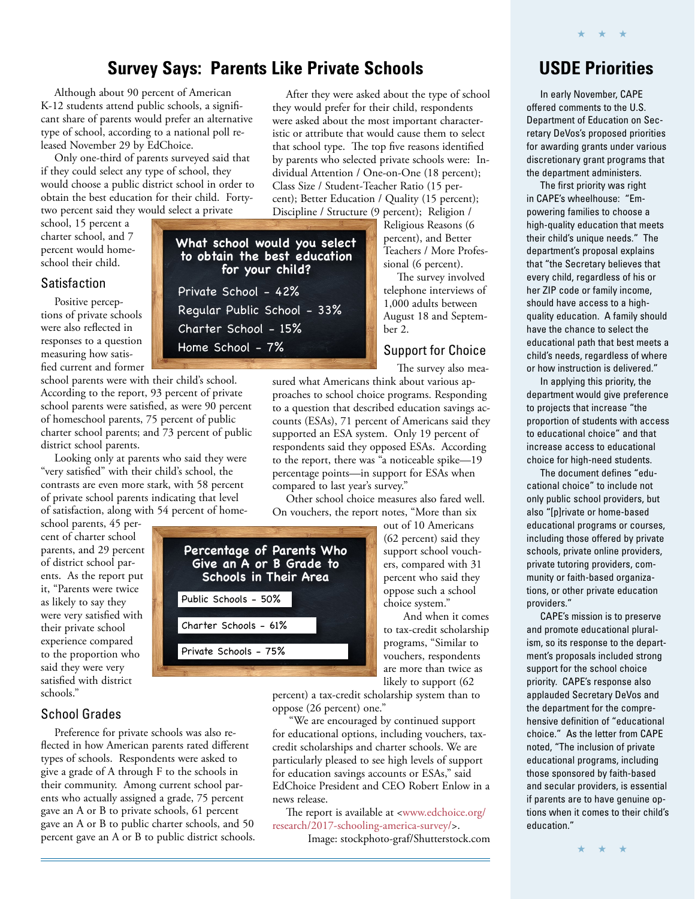## **Survey Says: Parents Like Private Schools**

**to obtain the best education for your child?**

Regular Public School - 33%

Private School - 42%

Charter School - 15%

Home School - 7%

Although about 90 percent of American K-12 students attend public schools, a significant share of parents would prefer an alternative type of school, according to a national poll released November 29 by EdChoice.

Only one-third of parents surveyed said that if they could select any type of school, they would choose a public district school in order to obtain the best education for their child. Fortytwo percent said they would select a private

school, 15 percent a charter school, and 7 percent would homeschool their child.

#### Satisfaction

Positive perceptions of private schools were also reflected in responses to a question measuring how satisfied current and former

school parents were with their child's school. According to the report, 93 percent of private school parents were satisfied, as were 90 percent of homeschool parents, 75 percent of public charter school parents; and 73 percent of public district school parents.

Looking only at parents who said they were "very satisfied" with their child's school, the contrasts are even more stark, with 58 percent of private school parents indicating that level of satisfaction, along with 54 percent of home-

school parents, 45 percent of charter school parents, and 29 percent of district school parents. As the report put it, "Parents were twice as likely to say they were very satisfied with their private school experience compared to the proportion who said they were very satisfied with district schools."

#### School Grades

Preference for private schools was also reflected in how American parents rated different types of schools. Respondents were asked to give a grade of A through F to the schools in their community. Among current school parents who actually assigned a grade, 75 percent gave an A or B to private schools, 61 percent gave an A or B to public charter schools, and 50 percent gave an A or B to public district schools.

After they were asked about the type of school they would prefer for their child, respondents were asked about the most important characteristic or attribute that would cause them to select that school type. The top five reasons identified by parents who selected private schools were: Individual Attention / One-on-One (18 percent); Class Size / Student-Teacher Ratio (15 percent); Better Education / Quality (15 percent); Discipline / Structure (9 percent); Religion /

**What school would you select**  Religious Reasons (6

percent), and Better Teachers / More Professional (6 percent).

The survey involved telephone interviews of 1,000 adults between August 18 and September 2.

#### Support for Choice

The survey also measured what Americans think about various approaches to school choice programs. Responding to a question that described education savings accounts (ESAs), 71 percent of Americans said they supported an ESA system. Only 19 percent of respondents said they opposed ESAs. According to the report, there was "a noticeable spike—19 percentage points—in support for ESAs when compared to last year's survey."

Other school choice measures also fared well. On vouchers, the report notes, "More than six

> out of 10 Americans (62 percent) said they support school vouchers, compared with 31 percent who said they oppose such a school choice system."

 And when it comes to tax-credit scholarship programs, "Similar to vouchers, respondents are more than twice as likely to support (62

percent) a tax-credit scholarship system than to oppose (26 percent) one."

 "We are encouraged by continued support for educational options, including vouchers, taxcredit scholarships and charter schools. We are particularly pleased to see high levels of support for education savings accounts or ESAs," said EdChoice President and CEO Robert Enlow in a news release.

[The report is available at <www.edchoice.org/](https://www.edchoice.org/research/2017-schooling-america-survey/) research/2017-schooling-america-survey/>.

Image: stockphoto-graf/Shutterstock.com

## **USDE Priorities**

★ ★ ★

In early November, CAPE offered comments to the U.S. Department of Education on Secretary DeVos's proposed priorities for awarding grants under various discretionary grant programs that the department administers.

The first priority was right in CAPE's wheelhouse: "Empowering families to choose a high-quality education that meets their child's unique needs." The department's proposal explains that "the Secretary believes that every child, regardless of his or her ZIP code or family income, should have access to a highquality education. A family should have the chance to select the educational path that best meets a child's needs, regardless of where or how instruction is delivered."

In applying this priority, the department would give preference to projects that increase "the proportion of students with access to educational choice" and that increase access to educational choice for high-need students.

The document defines "educational choice" to include not only public school providers, but also "[p]rivate or home-based educational programs or courses, including those offered by private schools, private online providers, private tutoring providers, community or faith-based organizations, or other private education providers."

CAPE's mission is to preserve and promote educational pluralism, so its response to the department's proposals included strong support for the school choice priority. CAPE's response also applauded Secretary DeVos and the department for the comprehensive definition of "educational choice." As the letter from CAPE noted, "The inclusion of private educational programs, including those sponsored by faith-based and secular providers, is essential if parents are to have genuine options when it comes to their child's education."

★ ★ ★